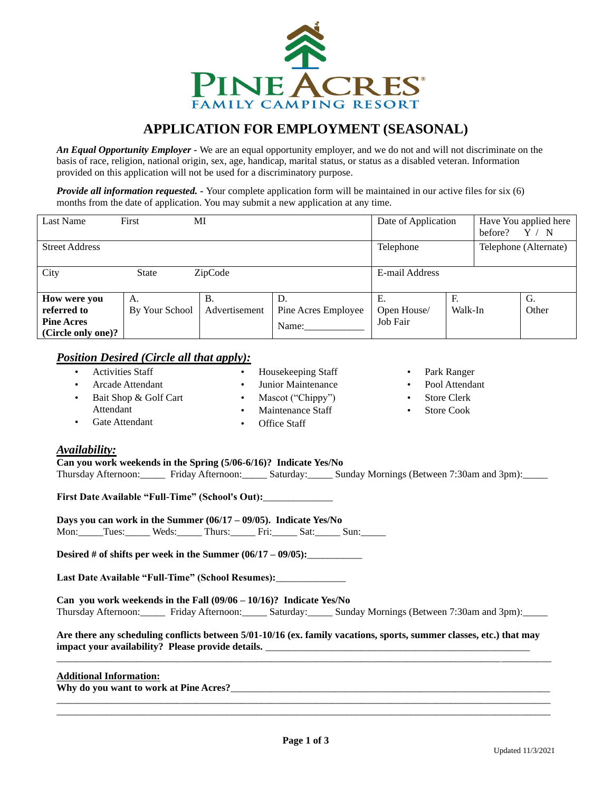

# **APPLICATION FOR EMPLOYMENT (SEASONAL)**

*An Equal Opportunity Employer -* We are an equal opportunity employer, and we do not and will not discriminate on the basis of race, religion, national origin, sex, age, handicap, marital status, or status as a disabled veteran. Information provided on this application will not be used for a discriminatory purpose.

*Provide all information requested. -* Your complete application form will be maintained in our active files for six (6) months from the date of application. You may submit a new application at any time.

| Last Name             | First          | MI            |                     | Date of Application |         | before? | Have You applied here<br>$^{\prime}$ N |
|-----------------------|----------------|---------------|---------------------|---------------------|---------|---------|----------------------------------------|
| <b>Street Address</b> |                |               |                     | Telephone           |         |         | Telephone (Alternate)                  |
| City                  | <b>State</b>   | ZipCode       |                     | E-mail Address      |         |         |                                        |
| How were you          | А.             | Β.            | D.                  | Е.                  | F.      |         | G.                                     |
| referred to           | By Your School | Advertisement | Pine Acres Employee | Open House/         | Walk-In |         | Other                                  |
| <b>Pine Acres</b>     |                |               | Name:               | Job Fair            |         |         |                                        |
| (Circle only one)?    |                |               |                     |                     |         |         |                                        |

#### *Position Desired (Circle all that apply):*

• Activities Staff • Arcade Attendant • Bait Shop & Golf Cart Attendant Gate Attendant • Housekeeping Staff Junior Maintenance • Mascot ("Chippy") • Maintenance Staff • Office Staff Park Ranger Pool Attendant Store Clerk **Store Cook** 

#### *Availability:*

**Can you work weekends in the Spring (5/06-6/16)? Indicate Yes/No** Thursday Afternoon: Friday Afternoon: Saturday: Sunday Mornings (Between 7:30am and 3pm):

**First Date Available "Full-Time" (School's Out):**\_\_\_\_\_\_\_\_\_\_\_\_\_\_

**Days you can work in the Summer (06/17 – 09/05). Indicate Yes/No**

Mon: Tues: Weds: Thurs: Fri: Sat: Sun: \_\_\_\_

**Desired # of shifts per week in the Summer (06/17 – 09/05):**\_\_\_\_\_\_\_\_\_\_\_

**Last Date Available "Full-Time" (School Resumes):**\_\_\_\_\_\_\_\_\_\_\_\_\_\_

**Can you work weekends in the Fall (09/06 – 10/16)? Indicate Yes/No** Thursday Afternoon:\_\_\_\_\_ Friday Afternoon:\_\_\_\_\_ Saturday:\_\_\_\_\_ Sunday Mornings (Between 7:30am and 3pm):\_\_\_\_\_

**Are there any scheduling conflicts between 5/01-10/16 (ex. family vacations, sports, summer classes, etc.) that may impact your availability? Please provide details.** 

\_\_\_\_\_\_\_\_\_\_\_\_\_\_\_\_\_\_\_\_\_\_\_\_\_\_\_\_\_\_\_\_\_\_\_\_\_\_\_\_\_\_\_\_\_\_\_\_\_\_\_\_\_\_\_\_\_\_\_\_\_\_\_\_\_\_\_\_\_\_\_\_\_\_\_\_\_\_\_\_\_\_\_\_\_\_\_\_\_\_\_\_\_\_\_\_\_\_\_

#### **Additional Information:**

**Why do you want to work at Pine Acres?**\_\_\_\_\_\_\_\_\_\_\_\_\_\_\_\_\_\_\_\_\_\_\_\_\_\_\_\_\_\_\_\_\_\_\_\_\_\_\_\_\_\_\_\_\_\_\_\_\_\_\_\_\_\_\_\_\_\_\_\_\_\_\_\_

\_\_\_\_\_\_\_\_\_\_\_\_\_\_\_\_\_\_\_\_\_\_\_\_\_\_\_\_\_\_\_\_\_\_\_\_\_\_\_\_\_\_\_\_\_\_\_\_\_\_\_\_\_\_\_\_\_\_\_\_\_\_\_\_\_\_\_\_\_\_\_\_\_\_\_\_\_\_\_\_\_\_\_\_\_\_\_\_\_\_\_\_\_\_\_\_\_\_\_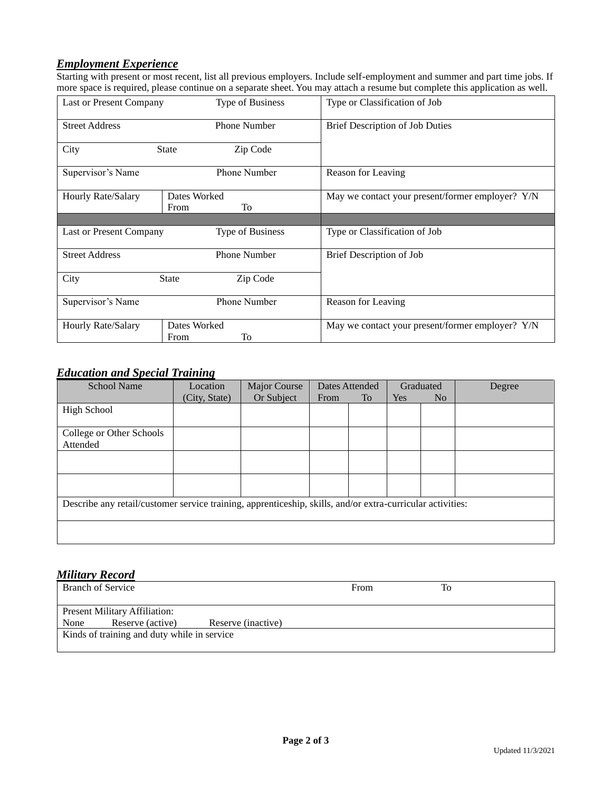# *Employment Experience*

Starting with present or most recent, list all previous employers. Include self-employment and summer and part time jobs. If more space is required, please continue on a separate sheet. You may attach a resume but complete this application as well.

| Last or Present Company | <b>Type of Business</b>    | Type or Classification of Job                    |
|-------------------------|----------------------------|--------------------------------------------------|
| <b>Street Address</b>   | <b>Phone Number</b>        | Brief Description of Job Duties                  |
| City                    | Zip Code<br><b>State</b>   |                                                  |
| Supervisor's Name       | <b>Phone Number</b>        | Reason for Leaving                               |
| Hourly Rate/Salary      | Dates Worked<br>To<br>From | May we contact your present/former employer? Y/N |
|                         |                            |                                                  |
| Last or Present Company | <b>Type of Business</b>    | Type or Classification of Job                    |
| <b>Street Address</b>   | Phone Number               | Brief Description of Job                         |
| City                    | <b>State</b><br>Zip Code   |                                                  |
| Supervisor's Name       | Phone Number               | Reason for Leaving                               |
| Hourly Rate/Salary      | Dates Worked<br>To<br>From | May we contact your present/former employer? Y/N |

### *Education and Special Training*

| <b>School Name</b>                                                                                         | Location      | Major Course | Dates Attended |    | Graduated |                | Degree |
|------------------------------------------------------------------------------------------------------------|---------------|--------------|----------------|----|-----------|----------------|--------|
|                                                                                                            | (City, State) | Or Subject   | From           | To | Yes       | N <sub>o</sub> |        |
| <b>High School</b>                                                                                         |               |              |                |    |           |                |        |
|                                                                                                            |               |              |                |    |           |                |        |
| College or Other Schools                                                                                   |               |              |                |    |           |                |        |
| Attended                                                                                                   |               |              |                |    |           |                |        |
|                                                                                                            |               |              |                |    |           |                |        |
|                                                                                                            |               |              |                |    |           |                |        |
|                                                                                                            |               |              |                |    |           |                |        |
|                                                                                                            |               |              |                |    |           |                |        |
| Describe any retail/customer service training, apprenticeship, skills, and/or extra-curricular activities: |               |              |                |    |           |                |        |
|                                                                                                            |               |              |                |    |           |                |        |
|                                                                                                            |               |              |                |    |           |                |        |
|                                                                                                            |               |              |                |    |           |                |        |

### *Military Record*

|      | <b>Branch of Service</b>                          |                    | From | To |  |
|------|---------------------------------------------------|--------------------|------|----|--|
| None | Present Military Affiliation:<br>Reserve (active) | Reserve (inactive) |      |    |  |
|      | Kinds of training and duty while in service       |                    |      |    |  |